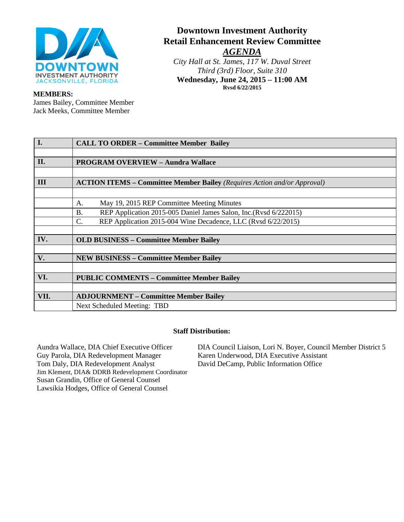

# **Downtown Investment Authority Retail Enhancement Review Committee** *AGENDA*

*City Hall at St. James, 117 W. Duval Street Third (3rd) Floor, Suite 310* **Wednesday, June 24, 2015 – 11:00 AM Rvsd 6/22/2015**

#### **MEMBERS:**

James Bailey, Committee Member Jack Meeks, Committee Member

| <b>I.</b> | <b>CALL TO ORDER - Committee Member Bailey</b>                                  |  |
|-----------|---------------------------------------------------------------------------------|--|
|           |                                                                                 |  |
| II.       | <b>PROGRAM OVERVIEW - Aundra Wallace</b>                                        |  |
|           |                                                                                 |  |
| III       | <b>ACTION ITEMS – Committee Member Bailey</b> (Requires Action and/or Approval) |  |
|           |                                                                                 |  |
|           | May 19, 2015 REP Committee Meeting Minutes<br>А.                                |  |
|           | REP Application 2015-005 Daniel James Salon, Inc.(Rvsd 6/222015)<br><b>B.</b>   |  |
|           | C.<br>REP Application 2015-004 Wine Decadence, LLC (Rvsd 6/22/2015)             |  |
|           |                                                                                 |  |
| IV.       | <b>OLD BUSINESS – Committee Member Bailey</b>                                   |  |
|           |                                                                                 |  |
| V.        | <b>NEW BUSINESS – Committee Member Bailey</b>                                   |  |
|           |                                                                                 |  |
| VI.       | <b>PUBLIC COMMENTS - Committee Member Bailey</b>                                |  |
|           |                                                                                 |  |
| VII.      | <b>ADJOURNMENT – Committee Member Bailey</b>                                    |  |
|           | Next Scheduled Meeting: TBD                                                     |  |

#### **Staff Distribution:**

Aundra Wallace, DIA Chief Executive Officer Guy Parola, DIA Redevelopment Manager Tom Daly, DIA Redevelopment Analyst Jim Klement, DIA& DDRB Redevelopment Coordinator Susan Grandin, Office of General Counsel Lawsikia Hodges, Office of General Counsel

DIA Council Liaison, Lori N. Boyer, Council Member District 5 Karen Underwood, DIA Executive Assistant David DeCamp, Public Information Office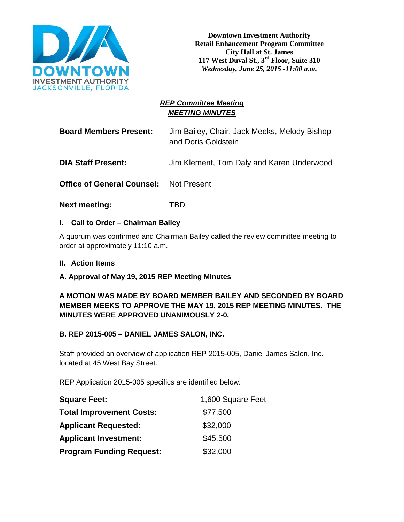

## *REP Committee Meeting MEETING MINUTES*

**Board Members Present:** Jim Bailey, Chair, Jack Meeks, Melody Bishop and Doris Goldstein

**DIA Staff Present:** Jim Klement, Tom Daly and Karen Underwood

**Office of General Counsel:** Not Present

**Next meeting:** TBD

#### **I. Call to Order – Chairman Bailey**

A quorum was confirmed and Chairman Bailey called the review committee meeting to order at approximately 11:10 a.m.

**II. Action Items**

#### **A. Approval of May 19, 2015 REP Meeting Minutes**

## **A MOTION WAS MADE BY BOARD MEMBER BAILEY AND SECONDED BY BOARD MEMBER MEEKS TO APPROVE THE MAY 19, 2015 REP MEETING MINUTES. THE MINUTES WERE APPROVED UNANIMOUSLY 2-0.**

#### **B. REP 2015-005 – DANIEL JAMES SALON, INC.**

Staff provided an overview of application REP 2015-005, Daniel James Salon, Inc. located at 45 West Bay Street.

REP Application 2015-005 specifics are identified below:

| <b>Square Feet:</b>             | 1,600 Square Feet |
|---------------------------------|-------------------|
| <b>Total Improvement Costs:</b> | \$77,500          |
| <b>Applicant Requested:</b>     | \$32,000          |
| <b>Applicant Investment:</b>    | \$45,500          |
| <b>Program Funding Request:</b> | \$32,000          |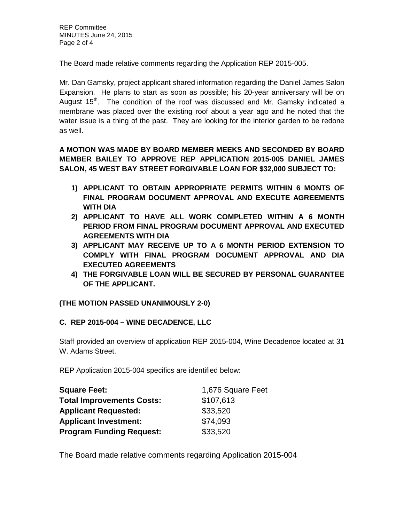The Board made relative comments regarding the Application REP 2015-005.

Mr. Dan Gamsky, project applicant shared information regarding the Daniel James Salon Expansion. He plans to start as soon as possible; his 20-year anniversary will be on August 15<sup>th</sup>. The condition of the roof was discussed and Mr. Gamsky indicated a membrane was placed over the existing roof about a year ago and he noted that the water issue is a thing of the past. They are looking for the interior garden to be redone as well.

**A MOTION WAS MADE BY BOARD MEMBER MEEKS AND SECONDED BY BOARD MEMBER BAILEY TO APPROVE REP APPLICATION 2015-005 DANIEL JAMES SALON, 45 WEST BAY STREET FORGIVABLE LOAN FOR \$32,000 SUBJECT TO:**

- **1) APPLICANT TO OBTAIN APPROPRIATE PERMITS WITHIN 6 MONTS OF FINAL PROGRAM DOCUMENT APPROVAL AND EXECUTE AGREEMENTS WITH DIA**
- **2) APPLICANT TO HAVE ALL WORK COMPLETED WITHIN A 6 MONTH PERIOD FROM FINAL PROGRAM DOCUMENT APPROVAL AND EXECUTED AGREEMENTS WITH DIA**
- **3) APPLICANT MAY RECEIVE UP TO A 6 MONTH PERIOD EXTENSION TO COMPLY WITH FINAL PROGRAM DOCUMENT APPROVAL AND DIA EXECUTED AGREEMENTS**
- **4) THE FORGIVABLE LOAN WILL BE SECURED BY PERSONAL GUARANTEE OF THE APPLICANT.**

## **(THE MOTION PASSED UNANIMOUSLY 2-0)**

## **C. REP 2015-004 – WINE DECADENCE, LLC**

Staff provided an overview of application REP 2015-004, Wine Decadence located at 31 W. Adams Street.

REP Application 2015-004 specifics are identified below:

| <b>Square Feet:</b>              | 1,676 Square Feet |
|----------------------------------|-------------------|
| <b>Total Improvements Costs:</b> | \$107,613         |
| <b>Applicant Requested:</b>      | \$33,520          |
| <b>Applicant Investment:</b>     | \$74,093          |
| <b>Program Funding Request:</b>  | \$33,520          |

The Board made relative comments regarding Application 2015-004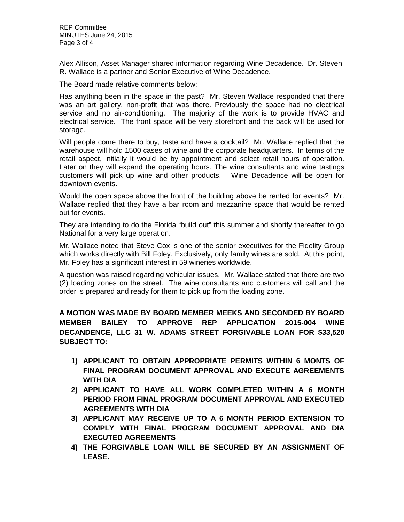REP Committee MINUTES June 24, 2015 Page 3 of 4

Alex Allison, Asset Manager shared information regarding Wine Decadence. Dr. Steven R. Wallace is a partner and Senior Executive of Wine Decadence.

The Board made relative comments below:

Has anything been in the space in the past? Mr. Steven Wallace responded that there was an art gallery, non-profit that was there. Previously the space had no electrical service and no air-conditioning. The majority of the work is to provide HVAC and electrical service. The front space will be very storefront and the back will be used for storage.

Will people come there to buy, taste and have a cocktail? Mr. Wallace replied that the warehouse will hold 1500 cases of wine and the corporate headquarters. In terms of the retail aspect, initially it would be by appointment and select retail hours of operation. Later on they will expand the operating hours. The wine consultants and wine tastings customers will pick up wine and other products. Wine Decadence will be open for downtown events.

Would the open space above the front of the building above be rented for events? Mr. Wallace replied that they have a bar room and mezzanine space that would be rented out for events.

They are intending to do the Florida "build out" this summer and shortly thereafter to go National for a very large operation.

Mr. Wallace noted that Steve Cox is one of the senior executives for the Fidelity Group which works directly with Bill Foley. Exclusively, only family wines are sold. At this point, Mr. Foley has a significant interest in 59 wineries worldwide.

A question was raised regarding vehicular issues. Mr. Wallace stated that there are two (2) loading zones on the street. The wine consultants and customers will call and the order is prepared and ready for them to pick up from the loading zone.

**A MOTION WAS MADE BY BOARD MEMBER MEEKS AND SECONDED BY BOARD MEMBER BAILEY TO APPROVE REP APPLICATION 2015-004 WINE DECANDENCE, LLC 31 W. ADAMS STREET FORGIVABLE LOAN FOR \$33,520 SUBJECT TO:**

- **1) APPLICANT TO OBTAIN APPROPRIATE PERMITS WITHIN 6 MONTS OF FINAL PROGRAM DOCUMENT APPROVAL AND EXECUTE AGREEMENTS WITH DIA**
- **2) APPLICANT TO HAVE ALL WORK COMPLETED WITHIN A 6 MONTH PERIOD FROM FINAL PROGRAM DOCUMENT APPROVAL AND EXECUTED AGREEMENTS WITH DIA**
- **3) APPLICANT MAY RECEIVE UP TO A 6 MONTH PERIOD EXTENSION TO COMPLY WITH FINAL PROGRAM DOCUMENT APPROVAL AND DIA EXECUTED AGREEMENTS**
- **4) THE FORGIVABLE LOAN WILL BE SECURED BY AN ASSIGNMENT OF LEASE.**